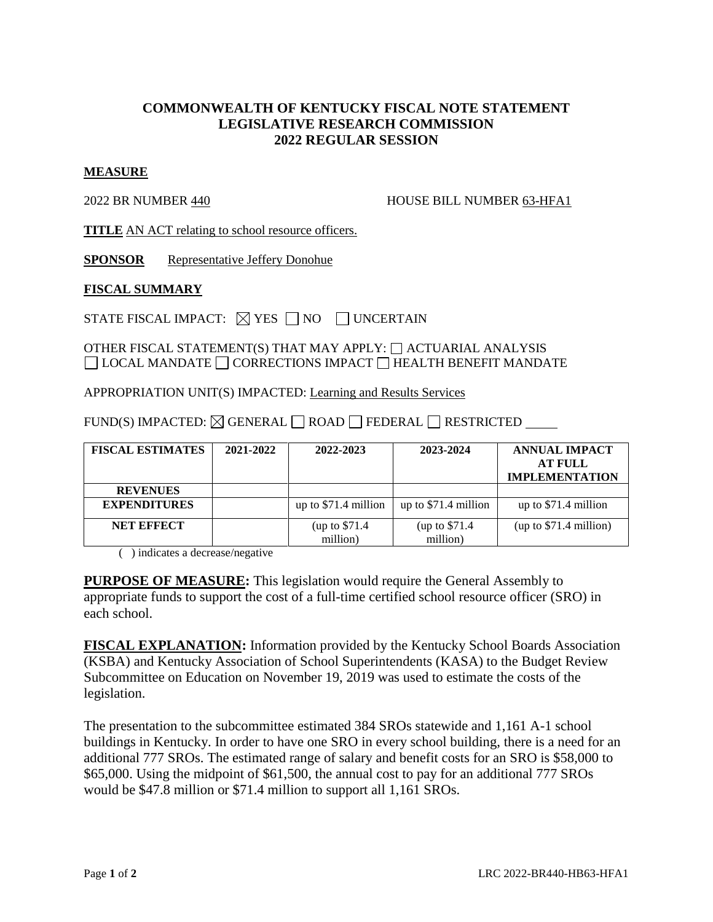## **COMMONWEALTH OF KENTUCKY FISCAL NOTE STATEMENT LEGISLATIVE RESEARCH COMMISSION 2022 REGULAR SESSION**

## **MEASURE**

2022 BR NUMBER 440 HOUSE BILL NUMBER 63-HFA1

**TITLE** AN ACT relating to school resource officers.

**SPONSOR** Representative Jeffery Donohue

## **FISCAL SUMMARY**

STATE FISCAL IMPACT:  $\boxtimes$  YES  $\Box$  NO  $\Box$  UNCERTAIN

OTHER FISCAL STATEMENT(S) THAT MAY APPLY:  $\Box$  ACTUARIAL ANALYSIS  $\Box$  LOCAL MANDATE  $\Box$  CORRECTIONS IMPACT  $\Box$  HEALTH BENEFIT MANDATE

APPROPRIATION UNIT(S) IMPACTED: Learning and Results Services

 $FUND(S) IMPACTED: \Box GENERAL \Box ROAD \Box FEDERAL \Box RESTRICTED \_$ 

| <b>FISCAL ESTIMATES</b> | 2021-2022 | 2022-2023                  | 2023-2024                  | <b>ANNUAL IMPACT</b><br><b>AT FULL</b><br><b>IMPLEMENTATION</b> |
|-------------------------|-----------|----------------------------|----------------------------|-----------------------------------------------------------------|
| <b>REVENUES</b>         |           |                            |                            |                                                                 |
| <b>EXPENDITURES</b>     |           | up to $$71.4$ million      | up to \$71.4 million       | up to \$71.4 million                                            |
| <b>NET EFFECT</b>       |           | (up to \$71.4)<br>million) | (up to \$71.4)<br>million) | (up to \$71.4 million)                                          |

( ) indicates a decrease/negative

**PURPOSE OF MEASURE:** This legislation would require the General Assembly to appropriate funds to support the cost of a full-time certified school resource officer (SRO) in each school.

**FISCAL EXPLANATION:** Information provided by the Kentucky School Boards Association (KSBA) and Kentucky Association of School Superintendents (KASA) to the Budget Review Subcommittee on Education on November 19, 2019 was used to estimate the costs of the legislation.

The presentation to the subcommittee estimated 384 SROs statewide and 1,161 A-1 school buildings in Kentucky. In order to have one SRO in every school building, there is a need for an additional 777 SROs. The estimated range of salary and benefit costs for an SRO is \$58,000 to \$65,000. Using the midpoint of \$61,500, the annual cost to pay for an additional 777 SROs would be \$47.8 million or \$71.4 million to support all 1,161 SROs.